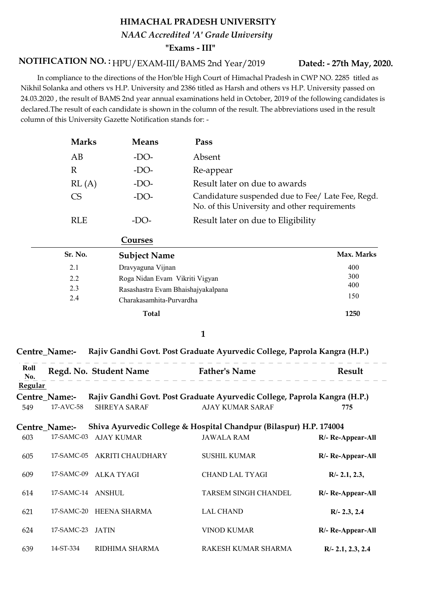## HIMACHAL PRADESH UNIVERSITY "Exams - III" NAAC Accredited 'A' Grade University

## NOTIFICATION NO.: HPU/EXAM-III/BAMS 2nd Year/2019

 In compliance to the directions of the Hon'ble High Court of Himachal Pradesh in CWP NO. 2285 titled as Nikhil Solanka and others vs H.P. University and 2386 titled as Harsh and others vs H.P. University passed on 24.03.2020 , the result of BAMS 2nd year annual examinations held in October, 2019 of the following candidates is declared.The result of each candidate is shown in the column of the result. The abbreviations used in the result column of this University Gazette Notification stands for: -

| <b>Marks</b> | <b>Means</b> | Pass                                                                                               |
|--------------|--------------|----------------------------------------------------------------------------------------------------|
| AB           | -DO-         | Absent                                                                                             |
| R            | $-DO-$       | Re-appear                                                                                          |
| RL(A)        | $-DO-$       | Result later on due to awards                                                                      |
| CS           | $-DO-$       | Candidature suspended due to Fee/ Late Fee, Regd.<br>No. of this University and other requirements |
| RL E         | -1 )( )-     | Result later on due to Eligibility                                                                 |

| Courses |         |                                                                      |                   |
|---------|---------|----------------------------------------------------------------------|-------------------|
|         | Sr. No. | <b>Subject Name</b>                                                  | Max. Marks        |
|         | 2.1     | Dravyaguna Vijnan                                                    | 400               |
|         | 2.2     | Roga Nidan Evam Vikriti Vigyan<br>Rasashastra Evam Bhaishajyakalpana | 300<br>400<br>150 |
|         | 2.3     |                                                                      |                   |
|         | 2.4     | Charakasamhita-Purvardha                                             |                   |
|         |         | Total                                                                | 1250              |

#### 1

#### Centre\_Name:- Rajiv Gandhi Govt. Post Graduate Ayurvedic College, Paprola Kangra (H.P.)

| Roll<br>No.    |               | Regd. No. Student Name Father's Name |                                                                           | Result              |
|----------------|---------------|--------------------------------------|---------------------------------------------------------------------------|---------------------|
| <b>Regular</b> |               |                                      |                                                                           |                     |
|                | Centre Name:- |                                      | Rajiv Gandhi Govt. Post Graduate Ayurvedic College, Paprola Kangra (H.P.) |                     |
| 549            | 17-AVC-58     | <b>SHREYA SARAF</b>                  | AJAY KUMAR SARAF                                                          | 775                 |
|                | Centre_Name:- |                                      | Shiva Ayurvedic College & Hospital Chandpur (Bilaspur) H.P. 174004        |                     |
| 603            | 17-SAMC-03    | AJAY KUMAR                           | <b>JAWALA RAM</b>                                                         | R/- Re-Appear-All   |
| 605            | 17-SAMC-05    | AKRITI CHAUDHARY                     | <b>SUSHIL KUMAR</b>                                                       | R/- Re-Appear-All   |
| 609            | 17-SAMC-09    | ALKA TYAGI                           | <b>CHAND LAL TYAGI</b>                                                    | $R/- 2.1, 2.3,$     |
| 614            |               | 17-SAMC-14 ANSHUL                    | TARSEM SINGH CHANDEL                                                      | R/- Re-Appear-All   |
| 621            | 17-SAMC-20    | HEENA SHARMA                         | <b>LAL CHAND</b>                                                          | $R/- 2.3, 2.4$      |
| 624            | 17-SAMC-23    | JATIN                                | <b>VINOD KUMAR</b>                                                        | R/- Re-Appear-All   |
| 639            | 14-ST-334     | RIDHIMA SHARMA                       | RAKESH KUMAR SHARMA                                                       | $R/- 2.1, 2.3, 2.4$ |

### Dated: - 27th May, 2020.